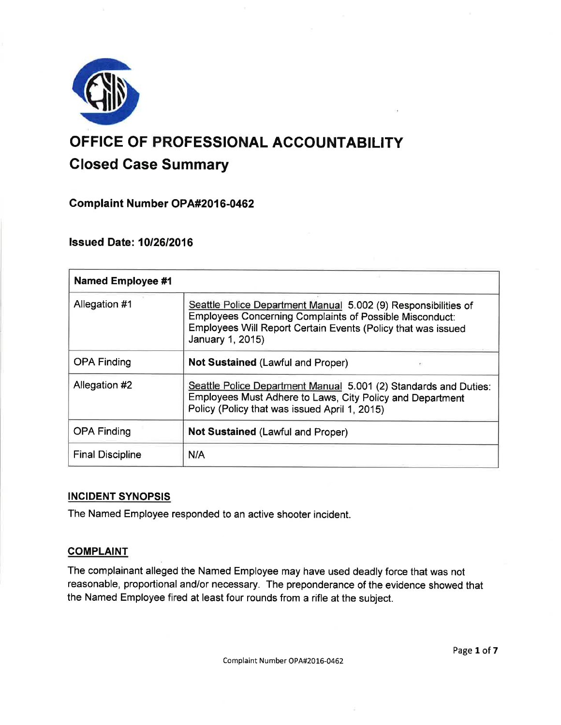

# OFFICE OF PROFESSIONAL ACCOUNTABILITY Glosed Case Summary

Complaint Number OPA#2016-0462

## lssued Date: 1012612016

| <b>Named Employee #1</b> |                                                                                                                                                                                                                      |
|--------------------------|----------------------------------------------------------------------------------------------------------------------------------------------------------------------------------------------------------------------|
| Allegation #1            | Seattle Police Department Manual 5.002 (9) Responsibilities of<br><b>Employees Concerning Complaints of Possible Misconduct:</b><br>Employees Will Report Certain Events (Policy that was issued<br>January 1, 2015) |
| <b>OPA Finding</b>       | <b>Not Sustained (Lawful and Proper)</b><br>es                                                                                                                                                                       |
| Allegation #2            | Seattle Police Department Manual 5.001 (2) Standards and Duties:<br>Employees Must Adhere to Laws, City Policy and Department<br>Policy (Policy that was issued April 1, 2015)                                       |
| <b>OPA Finding</b>       | <b>Not Sustained (Lawful and Proper)</b>                                                                                                                                                                             |
| <b>Final Discipline</b>  | N/A                                                                                                                                                                                                                  |

## INCIDENT SYNOPSIS

The Named Employee responded to an active shooter incident.

## **COMPLAINT**

The complainant alleged the Named Employee may have used deadly force that was not reasonable, proportional and/or necessary. The preponderance of the evidence showed that the Named Employee fired at least four rounds from a rifle at the subject.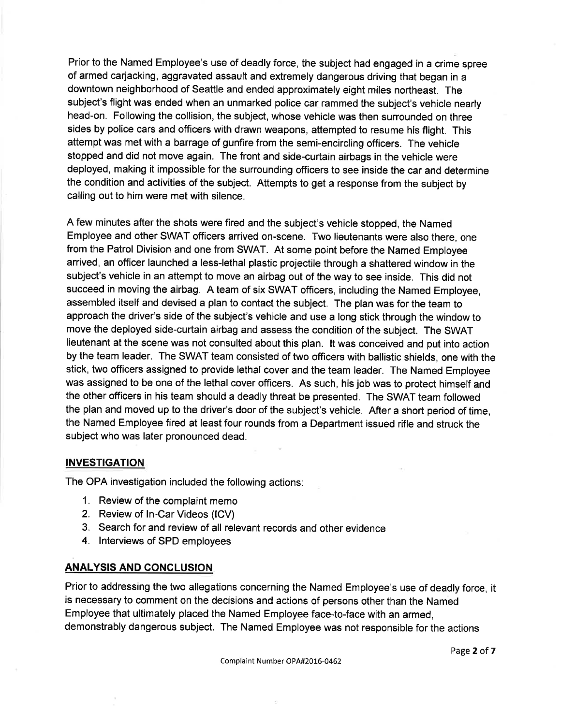Prior to the Named Employee's use of deadly force, the subject had engaged in a crime spree of armed carjacking, aggravated assault and extremely dangerous driving that began in a downtown neighborhood of Seattle and ended approximately eight miles northeast. The subject's flight was ended when an unmarked police car rammed the subject's vehicle nearly head-on. Following the collision, the subject, whose vehicle was then surrounded on three sides by police cars and officers with drawn weapons, attempted to resume his flight. This attempt was met with a barrage of gunfire from the semi-encircling officers. The vehicle stopped and did not move again. The front and side-curtain airbags in the vehicle were deployed, making it impossible for the surrounding officers to see inside the car and determine the condition and activities of the subject. Attempts to get a response from the subject by calling out to him were met with silence.

A few minutes after the shots were fired and the subject's vehicle stopped, the Named Employee and other SWAT officers arrived on-scene. Two lieutenants were also there, one from the Patrol Division and one from SWAT. At some point before the Named Employee arrived, an officer launched a less-lethal plastic projectile through a shattered window in the subject's vehicle in an attempt to move an airbag out of the way to see inside. This did not succeed in moving the airbag. A team of six SWAT officers, including the Named Employee, assembled itself and devised a plan to contact the subject. The plan was for the team to approach the driver's side of the subject's vehicle and use a long stick through the window to move the deployed side-curtain airbag and assess the condition of the subject. The SWAT lieutenant at the scene was not consulted about this plan. lt was conceived and put into action by the team leader. The SWAT team consisted of two officers with ballistic shields, one with the stick, two officers assigned to provide lethal cover and the team leader. The Named Employee was assigned to be one of the lethal cover officers. As such, his job was to protect himself and the other officers in his team should a deadly threat be presented. The SWAT team followed the plan and moved up to the driver's door of the subject's vehicle. After a short period of time, the Named Employee fired at least four rounds from a Department issued rifle and struck the subject who was later pronounced dead.

#### **INVESTIGATION**

The OPA investigation included the following actions:

- 1. Review of the complaint memo
- 2. Review of ln-Car Videos (lCV)
- 3. Search for and review of all relevant records and other evidence
- 4. lnterviews of SPD employees

### ANALYSIS AND CONCLUSION

Prior to addressing the two allegations concerning the Named Employee's use of deadly force, it is necessary to comment on the decisions and actions of persons other than the Named Employee that ultimately placed the Named Employee face-to-face with an armed, demonstrably dangerous subject. The Named Employee was not responsible for the actions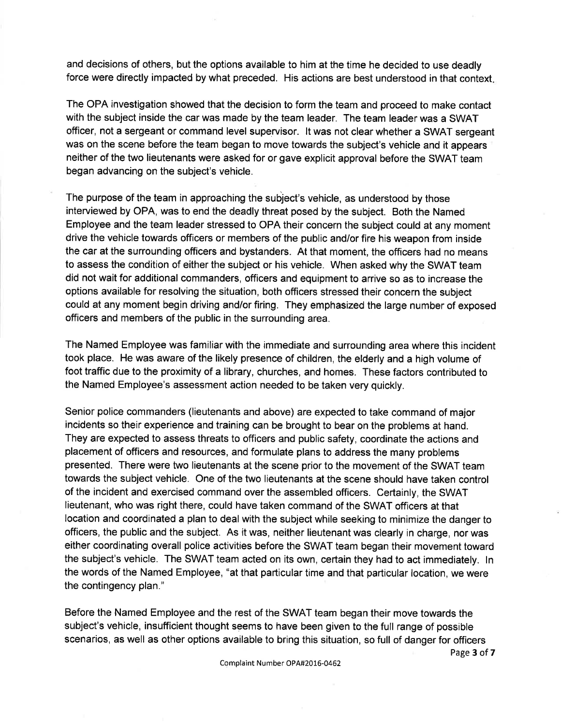and decisions of others, but the options available to him at the time he decided to use deadly force were directly impacted by what preceded. His actions are best understood in that context

The OPA investigation showed that the decision to form the team and proceed to make contact with the subject inside the car was made by the team leader. The team leader was a SWAT officer, not a sergeant or command level supervisor. lt was not clear whether a SWAT sergeant was on the scene before the team began to move towards the subject's vehicle and it appears neither of the two lieutenants were asked for or gave explicit approval before the SWAT team began advancing on the subject's vehicle.

The purpose of the team in approaching the subject's vehicle, as understood by those interviewed by OPA, was to end the deadly threat posed by the subject. Both the Named Employee and the team leader stressed to OPA their concern the subject could at any moment drive the vehicle towards officers or members of the public and/or fire his weapon from inside the car at the surrounding officers and bystanders. At that moment, the officers had no means to assess the condition of either the subject or his vehicle. When asked why the SWAT team did not wait for additional commanders, officers and equipment to arrive so as to increase the options available for resolving the situation, both officers stressed their concern the subject could at any moment begin driving and/or firing. They emphasized the large number of exposed officers and members of the public in the surrounding area.

The Named Employee was familiar with the immediate and surrounding area where this incident took place. He was aware of the likely presence of children, the elderly and a high volume of foot traffic due to the proximity of a library, churches, and homes. These factors contributed to the Named Employee's assessment action needed to be taken very quickly.

Senior police commanders (lieutenants and above) are expected to take command of major incidents so their experience and training can be brought to bear on the problems at hand. They are expected to assess threats to officers and public safety, coordinate the actions and placement of officers and resources, and formulate plans to address the many problems presented. There were two lieutenants at the scene prior to the movement of the SWAT team towards the subject vehicle. One of the two lieutenants at the scene should have taken control of the incident and exercised command over the assembled officers. Certainly, the SWAT lieutenant, who was right there, could have taken command of the SWAT officers at that location and coordinated a plan to deal with the subject while seeking to minimize the danger to officers, the public and the subject. As it was, neither lieutenant was clearly in charge, nor was either coordinating overall police activities before the SWAT team began their movement toward the subject's vehicle. The SWAT team acted on its own, certain they had to act immediately. ln the words of the Named Employee, "at that particular time and that particular location, we were the contingency plan."

Before the Named Employee and the rest of the SWAT team began their move towards the subject's vehicle, insufficient thought seems to have been given to the full range of possible scenarios, as well as other options available to bring this situation, so full of danger for officers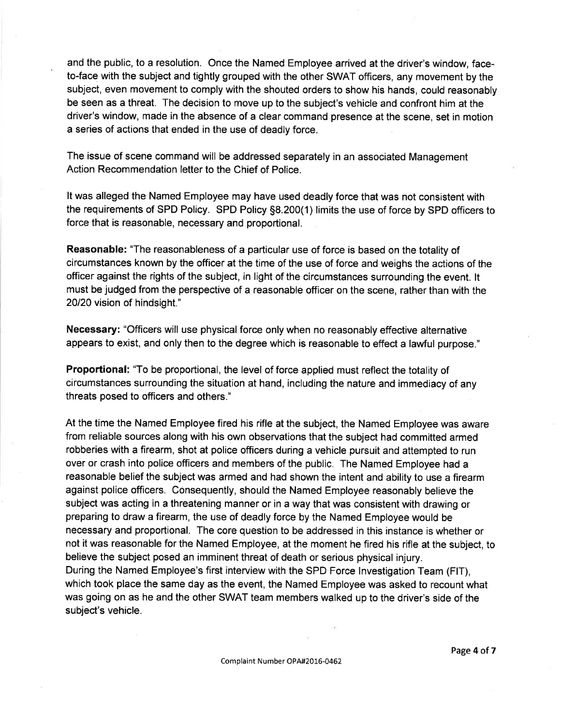and the public, to a resolution. Once the Named Employee arrived at the driver's window, faceto-face with the subject and tightly grouped with the other SWAT officers, any movement by the subject, even movement to comply with the shouted orders to show his hands, could reasonably be seen as a threat. The decision to move up to the subject's vehicle and confront him at the driver's window, made in the absence of a clear command presence at the scene, set in motion a series of actions that ended in the use of deadly force.

The issue of scene command will be addressed separately in an associated Management Action Recommendation letter to the Chief of Police.

It was alleged the Named Employee may have used deadly force that was not consistent with the requirements of SPD Policy. SPD Policy 58.200(1) limits the use of force by SPD officers to force that is reasonable, necessary and proportional.

Reasonable: "The reasonableness of a particular use of force is based on the totality of circumstances known by the officer at the time of the use of force and weighs the actions of the officer against the rights of the subject, in light of the circumstances surrounding the event. lt must be judged from the perspective of a reasonable officer on the scene, rather than with the 20120 vision of hindsight."

Necessary: "Officers will use physical force only when no reasonably effective alternative appears to exist, and only then to the degree which is reasonable to effect a lawful purpose."

Proportional: "To be proportional, the level of force applied must reflect the totality of circumstances surrounding the situation at hand, including the nature and immediacy of any threats posed to officers and others."

At the time the Named Employee fired his rifle at the subject, the Named Employee was aware from reliable sources along with his own observations that the subject had committed armed robberies with a firearm, shot at police officers during a vehicle pursuit and attempted to run over or crash into police officers and members of the public. The Named Employee had a reasonable belief the subject was armed and had shown the intent and ability to use a firearm against police officers. Consequently, should the Named Employee reasonably believe the subject was acting in a threatening manner or in a way that was consistent with drawing or preparing to draw a firearm, the use of deadly force by the Named Employee would be necessary and proportional. The core question to be addressed in this instance is whether or not it was reasonable for the Named Employee, at the moment he fired his rifle at the subject, to believe the subject posed an imminent threat of death or serious physical injury. During the Named Employee's first interview with the SPD Force lnvestigation Team (FlT), which took place the same day as the event, the Named Employee was asked to recount what was going on as he and the other SWAT team members walked up to the driver's side of the subject's vehicle.

Page 4 of 7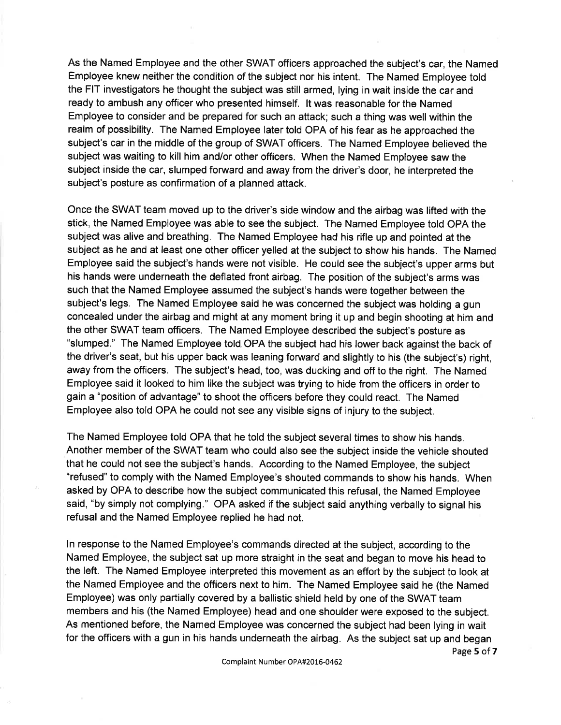As the Named Employee and the other SWAT officers approached the subject's car, the Named Employee knew neither the condition of the subject nor his intent. The Named Employee told the FIT investigators he thought the subject was still armed, lying in wait inside the car and ready to ambush any officer who presented himself. lt was reasonable for the Named Employee to consider and be prepared for such an attack; such a thing was well within the realm of possibility. The Named Employee later told OPA of his fear as he approached the subject's car in the middle of the group of SWAT officers. The Named Employee believed the subject was waiting to kill him and/or other officers. When the Named Employee saw the subject inside the car, slumped forward and away from the driver's door, he interpreted the subject's posture as confirmation of a planned attack.

Once the SWAT team moved up to the driver's side window and the airbag was lifted with the stick, the Named Employee was able to see the subject. The Named Employee told OPA the subject was alive and breathing. The Named Employee had his rifle up and pointed at the subject as he and at least one other officer yelled at the subject to show his hands. The Named Employee said the subject's hands were not visible. He could see the subject's upper arms but his hands were underneath the deflated front airbag. The position of the subject's arms was such that the Named Employee assumed the subject's hands were together between the subject's legs. The Named Employee said he was concerned the subject was holding a gun concealed under the airbag and might at any moment bring it up and begin shooting at him and the other SWAT team officers. The Named Employee described the subject's posture as "slumped." The Named Employee told. OPA the subject had his lower back against the back of the driver's seat, but his upper back was leaning forward and slightly to his (the subject's) right, away from the officers. The subject's head, too, was ducking and off to the right. The Named Employee said it looked to him like the subject was trying to hide from the officers in order to gain a "position of advantage" to shoot the officers before they could react. The Named Employee also told OPA he could not see any visible signs of injury to the subject.

The Named Employee told OPA that he told the subject several times to show his hands. Another member of the SWAT team who could also see the subject inside the vehicle shouted that he could not see the subject's hands. According to the Named Employee, the subject "refused" to comply with the Named Employee's shouted commands to show his hands. When asked by OPA to describe how the subject communicated this refusal, the Named Employee said, "by simply not complying." OPA asked if the subject said anything verbally to signal his refusal and the Named Employee replied he had not.

ln response to the Named Employee's commands directed at the subject, according to the Named Employee, the subject sat up more straight in the seat and began to move his head to the left. The Named Employee interpreted this movement as an effort by the subject to look at the Named Employee and the officers next to him. The Named Employee said he (the Named Employee) was only partially covered by a ballistic shield held by one of the SWAT team members and his (the Named Employee) head and one shoulder were exposed to the subject. As mentioned before, the Named Employee was concerned the subject had been lying in wait for the officers with a gun in his hands underneath the airbag. As the subject sat up and began

Page 5 of 7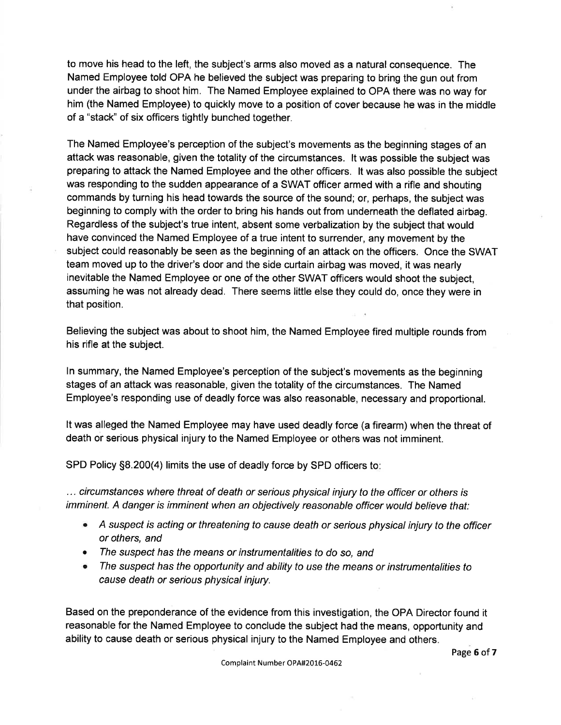to move his head to the left, the subject's arms also moved as a natural consequence. The Named Employee told OPA he believed the subject was preparing to bring the gun out from under the airbag to shoot him. The Named Employee explained to OPA there was no way for him (the Named Employee) to quickly move to a position of cover because he was in the middle of a "stack" of six officers tightly bunched together.

The Named Employee's perception of the subject's movements as the beginning stages of an attack was reasonable, given the totality of the circumstances. lt was possible the subject was preparing to attack the Named Employee and the other officers. lt was also possible the subject was responding to the sudden appearance of a SWAT officer armed with a rifle and shouting commands by turning his head towards the source of the sound; or, perhaps, the subject was beginning to comply with the order to bring his hands out from underneath the deflated airbag. Regardless of the subject's true intent, absent some verbalization by the subject that would have convinced the Named Employee of a true intent to surrender, any movement by the subject could reasonably be seen as the beginning of an attack on the officers. Once the SWAT team moved up to the driver's door and the side curtain airbag was moved, it was nearly inevitable the Named Employee or one of the other SWAT officers would shoot the subject, assuming he was not already dead. There seems little else they could do, once they were in that position.

Believing the subject was about to shoot him, the Named Employee fired multiple rounds from his rifle at the subject.

ln summary, the Named Employee's perception of the subject's movements as the beginning stages of an attack was reasonable, given the totality of the circumstances. The Named Employee's responding use of deadly force was also reasonable, necessary and proportional.

It was alleged the Named Employee may have used deadly force (a firearm) when the threat of death or serious physical injury to the Named Employee or others was not imminent.

SPD Policy 58.200(4) limits the use of deadly force by SPD officers to

... circumstances where threat of death or serious physical injury to the officer or others is imminent. A danger is imminent when an objectively reasonable officer would believe that:

- A suspect is acting or threatening to cause death or serious physical injury to the officer or others, and
- The suspect has the means or instrumentalities to do so, and
- The suspect has the opportunity and ability to use the means or instrumentalities to cause death or serious physical injury.

Based on the preponderance of the evidence from this investigation, the OPA Director found it reasonable for the Named Employee to conclude the subject had the means, opportunity and ability to cause death or serious physical injury to the Named Employee and others.

Page 6 of 7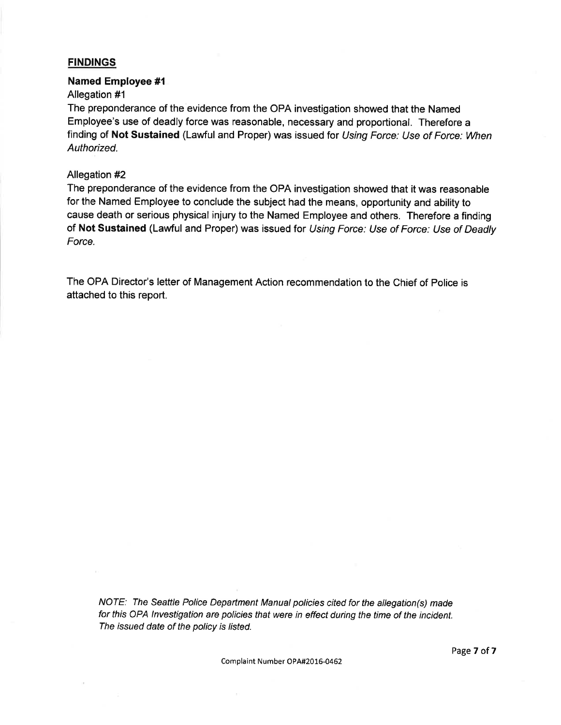#### **FINDINGS**

#### Named Employee #1

#### Allegation #1

The preponderance of the evidence from the OPA investigation showed that the Named Employee's use of deadly force was reasonable, necessary and proportional. Therefore a finding of Not Sustained (Lawful and Proper) was issued for Using Force: Use of Force: When Authorized.

#### Allegation #2

The preponderance of the evidence from the OPA investigation showed that it was reasonable for the Named Employee to conclude the subject had the means, opportunity and ability to cause death or serious physical injury to the Named Employee and others. Therefore a finding of Not Sustained (Lawful and Proper) was issued for Using Force: Use of Force: Use of Deadly Force.

The OPA Director's letter of Management Action recommendation to the Chief of Police is attached to this report.

NOTE: The Seattle Police Department Manual policies cited for the allegation(s) made for this OPA lnvestigation are policies that were in effect during the time of the incident. The issued date of the policy is listed.

Complaint Number OPA#2016-0462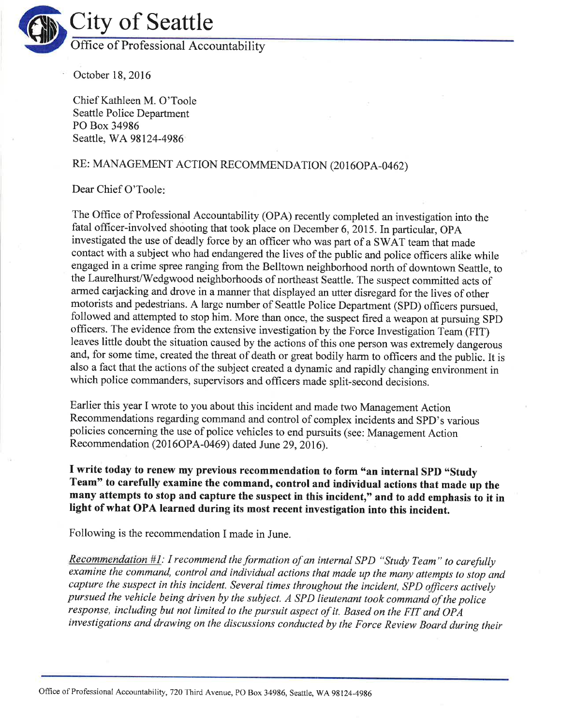

October 18,2016

Chief Kathleen M. O'Toole Seattle Police Department PO Box 34986 Seattle, WA98l24-4986

# RE: MANAGEMENT ACTION RECOMMENDATION (2016OPA-0462)

#### Dear Chief O'Toole

The Office of Professional Accountability (OPA) recently completed an investigation into the fatal officer-involved shooting that took place on December 6, 2015. In particular, OPA investigated the use of deadly force by an officer who was part of a SWAT team that made contact with a subject who had endangered the lives of the public and police officers alike while engaged in a crime spree ranging from the Belltown neighborhood north of downtown Seattle, to the Laurelhurst/Wedgwood neighborhoods of northeast Seattle. The suspect committed acts of armed carjacking and drove in a manner that displayed an utter disregard for the lives of other motorists and pedestrians. A largc number of Seattle Police Department (SPD) officers pursued, followed and attempted to stop him. More than once, the suspect fired a weapon at pursuing SpD officers. The evidence from the extensive investigation by the Force Investigation Team (FiT) leaves little doubt the situation caused by the actions of this one person was extremely dangerous and, for some time, created the threat of death or great bodily harm to officers and the public. It is also a fact that the actions of the subject created a dynamic and rapidly changing environment in which police commanders, supervisors and officers made split-second decisions.

Earlier this year I wrote to you about this incident and made two Management Action Recommendations regarding command and control of complex incidents and SPD's various policies conceming the use of police vehicles to end pursuits (see: Management Action Recommendation (2016OPA-0469) dated June 29, 2016).

I write today to renew my previous recommendation to form "an internal SPD "Study Team" to carefully examine the command, control and individual actions that made up the many attempts to stop and capture the suspect in this incident," and to add emphasis to it in light of what OPA learned during its most recent investigation into this incident.

Following is the recommendation I made in June.

Recommendation  $#I$ : I recommend the formation of an internal SPD "Study Team" to carefully examine the command, control and individual actions that made up the many attempts to stop and capture the suspect in this incident. Several times throughout the incident, SPD officers actively pursued the vehicle being driven by the subject. A SPD lieutenant took command of the police response, including but not limited to the pursuit aspect of it. Based on the FIT and OPA investigations and drawíng on the discussions conducted by the Force Review Board during their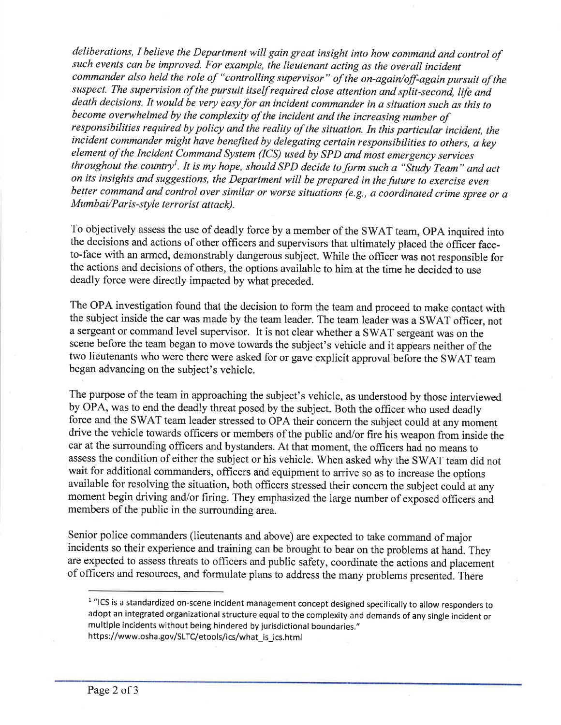deliberations, I believe the Department will gain great insight into how command and control of such events can be improved. For example, the lieutenant acting as the overall íncident commander also held the role of "controlling supervisor" of the on-agaín/off-again pursuit of the suspect. The supervision of the pursuit itself required close attention and split-second, life and death decisions. It would be very easy for an incident commander in a situation such as this to become overwhelmed by the complexity of the incident and the increasing number of responsíbilities required by policy and the reality of the situation. In thís particular incident, the incident commander might have benefited by delegating certain responsibilities to others, a key element of the Incident Command System (ICS) used by SPD and most emergency services throughout the country<sup>1</sup>. It is my hope, should SPD decide to form such a "Study Team" and act on its insights and suggestions, the Department will be prepared in the future to exercise even better command and control over similar or worse situations (e.g., a coordinated crime spree or a Mumbai/Paris-style terrorist attack).

To objectively assess the use of deadly force by a member of the SWAT team, OPA inquired into the decisions and actions of other officers and supervisors that ultimately placed the officer faceto-face with an armed, demonstrably dangerous subject. While the offrcer was not responsible for the actions and decisions of others, the options available to him at the time he decided to use deadly force were directly impacted by what preceded.

The OPA investigation found that the decision to form the team and proceed to make contact with the subject inside the car was made by the team leader. The team leader was a SWAT officer, not a sergeant or command level supervisor. It is not clear whether a SWAT sergeant was on the scene before the team began to move towards the subject's vehicle and it appears neither of the two lieutenants who were there were asked for or gave explicit approval before the SWAT team began advancing on the subject's vehicle.

The purpose of the team in approaching the subject's vehicle, as understood by those interviewed by OPA, was to end the deadly threat posed by the subject. Both the officer who used deadly force and the SWAT team leader stressed to OPA their concern the subject could at any moment drive the vehicle towards officers or members of the public and/or fire his weapon from inside the car at the surrounding officers and bystanders. At that moment, the officers had no means to assess the condition of either the subject or his vehicle. When asked why the SWAT team did not wait for additional commanders, officers and equipment to arrive so as to increase the options available for resolving the situation, both officers stressed their concem the subject could at any moment begin driving and/or firing. They emphasized the large number of exposed officers and members of the public in the surrounding area.

Senior police commanders (lieutenants and above) are expected to take command of major incidents so their experience and training can be brought to bear on the problems at hand. They are expected to assess threats to officers and public safety, coordinate the actions and placement of officers and resources, and formulate plans to address the many problems presented. There

<sup>&</sup>lt;sup>1</sup> "ICS is a standardized on-scene incident management concept designed specifically to allow responders to adopt an integrated organizational structure equal to the complexity and demands of any single incident or multiple incidents without being hindered by jurisdictional boundaries." https://www.osha.gov/SLTC/etools/ics/what\_is\_ics.html